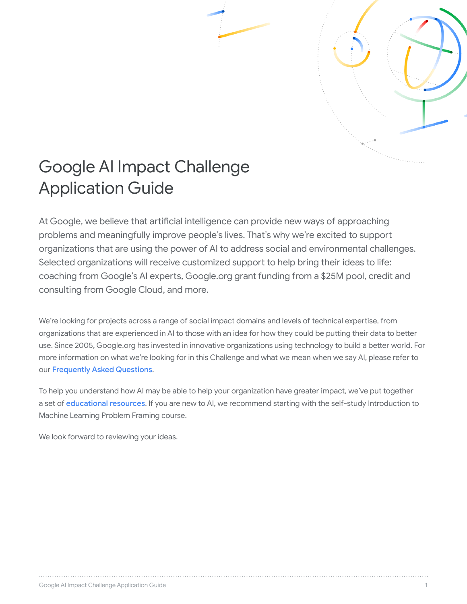

# Google AI Impact Challenge Application Guide

At Google, we believe that artificial intelligence can provide new ways of approaching problems and meaningfully improve people's lives. That's why we're excited to support organizations that are using the power of AI to address social and environmental challenges. Selected organizations will receive customized support to help bring their ideas to life: coaching from Google's AI experts, Google.org grant funding from a \$25M pool, credit and consulting from Google Cloud, and more.

We're looking for projects across a range of social impact domains and levels of technical expertise, from organizations that are experienced in AI to those with an idea for how they could be putting their data to better use. Since 2005, Google.org has invested in innovative organizations using technology to build a better world. For more information on what we're looking for in this Challenge and what we mean when we say AI, please refer to our [Frequently Asked Questions](https://ai.google/social-good/impact-challenge/#faqs).

To help you understand how AI may be able to help your organization have greater impact, we've put together a set of [educational resources](https://ai.google/education/social-good-guide). If you are new to AI, we recommend starting with the self-study Introduction to Machine Learning Problem Framing course.

We look forward to reviewing your ideas.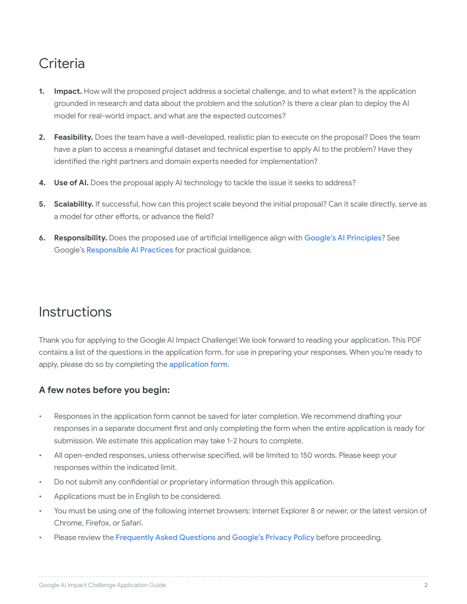## **Criteria**

- **1. Impact.** How will the proposed project address a societal challenge, and to what extent? Is the application grounded in research and data about the problem and the solution? Is there a clear plan to deploy the AI model for real-world impact, and what are the expected outcomes?
- **2. Feasibility.** Does the team have a well-developed, realistic plan to execute on the proposal? Does the team have a plan to access a meaningful dataset and technical expertise to apply AI to the problem? Have they identified the right partners and domain experts needed for implementation?
- **4. Use of AI.** Does the proposal apply AI technology to tackle the issue it seeks to address?
- **5. Scalability.** If successful, how can this project scale beyond the initial proposal? Can it scale directly, serve as a model for other efforts, or advance the field?
- **6. Responsibility.** Does the proposed use of artificial intelligence align with [Google's AI Principles](https://ai.google/principles/)? See Google's [Responsible AI Practices](https://ai.google/education/responsible-ai-practices) for practical guidance.

### **Instructions**

Thank you for applying to the Google AI Impact Challenge! We look forward to reading your application. This PDF contains a list of the questions in the application form, for use in preparing your responses. When you're ready to apply, please do so by completing the [application form](https://impactchallenge-app.withgoogle.com/ai-challenge/).

#### **A few notes before you begin:**

- Responses in the application form cannot be saved for later completion. We recommend drafting your responses in a separate document first and only completing the form when the entire application is ready for submission. We estimate this application may take 1-2 hours to complete.
- All open-ended responses, unless otherwise specified, will be limited to 150 words. Please keep your responses within the indicated limit.
- Do not submit any confidential or proprietary information through this application.
- Applications must be in English to be considered.
- You must be using one of the following internet browsers: Internet Explorer 8 or newer, or the latest version of Chrome, Firefox, or Safari.
- Please review the [Frequently Asked Questions](https://ai.google/social-good/impact-challenge/#faqs) and [Google's Privacy Policy](https://policies.google.com/privacy) before proceeding.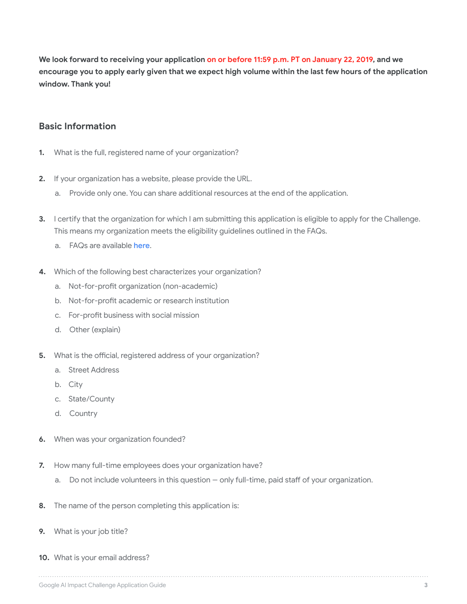**We look forward to receiving your application on or before 11:59 p.m. PT on January 22, 2019, and we encourage you to apply early given that we expect high volume within the last few hours of the application window. Thank you!**

#### **Basic Information**

- **1.** What is the full, registered name of your organization?
- **2.** If your organization has a website, please provide the URL.
	- a. Provide only one. You can share additional resources at the end of the application.
- **3.** I certify that the organization for which I am submitting this application is eligible to apply for the Challenge. This means my organization meets the eligibility guidelines outlined in the FAQs.
	- a. FAQs are available [here](https://ai.google/social-good/impact-challenge/#faqs).
- **4.** Which of the following best characterizes your organization?
	- a. Not-for-profit organization (non-academic)
	- b. Not-for-profit academic or research institution
	- c. For-profit business with social mission
	- d. Other (explain)
- **5.** What is the official, registered address of your organization?
	- a. Street Address
	- b. City
	- c. State/County
	- d. Country
- **6.** When was your organization founded?
- **7.** How many full-time employees does your organization have?
	- a. Do not include volunteers in this question only full-time, paid staff of your organization.
- **8.** The name of the person completing this application is:
- **9.** What is your job title?
- **10.** What is your email address?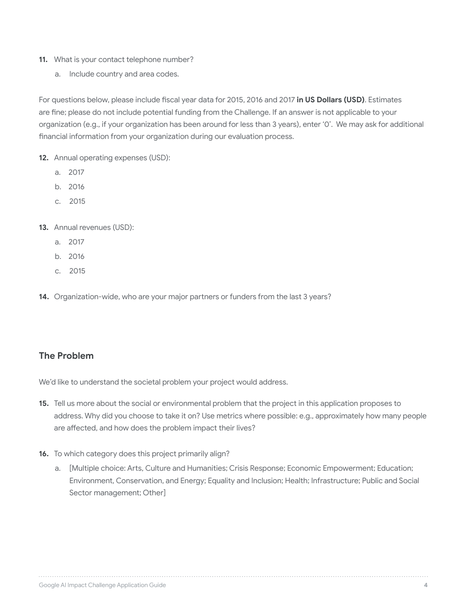- **11.** What is your contact telephone number?
	- a. Include country and area codes.

For questions below, please include fiscal year data for 2015, 2016 and 2017 **in US Dollars (USD)**. Estimates are fine; please do not include potential funding from the Challenge. If an answer is not applicable to your organization (e.g., if your organization has been around for less than 3 years), enter '0'. We may ask for additional financial information from your organization during our evaluation process.

- **12.** Annual operating expenses (USD):
	- a. 2017
	- b. 2016
	- c. 2015
- **13.** Annual revenues (USD):
	- a. 2017
	- b. 2016
	- c. 2015
- **14.** Organization-wide, who are your major partners or funders from the last 3 years?

#### **The Problem**

We'd like to understand the societal problem your project would address.

- **15.** Tell us more about the social or environmental problem that the project in this application proposes to address. Why did you choose to take it on? Use metrics where possible: e.g., approximately how many people are affected, and how does the problem impact their lives?
- **16.** To which category does this project primarily align?
	- a. [Multiple choice: Arts, Culture and Humanities; Crisis Response; Economic Empowerment; Education; Environment, Conservation, and Energy; Equality and Inclusion; Health; Infrastructure; Public and Social Sector management; Other]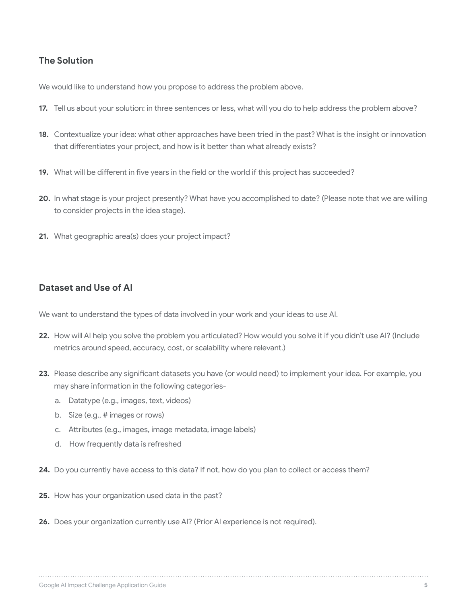#### **The Solution**

We would like to understand how you propose to address the problem above.

- **17.** Tell us about your solution: in three sentences or less, what will you do to help address the problem above?
- **18.** Contextualize your idea: what other approaches have been tried in the past? What is the insight or innovation that differentiates your project, and how is it better than what already exists?
- **19.** What will be different in five years in the field or the world if this project has succeeded?
- **20.** In what stage is your project presently? What have you accomplished to date? (Please note that we are willing to consider projects in the idea stage).
- **21.** What geographic area(s) does your project impact?

#### **Dataset and Use of AI**

We want to understand the types of data involved in your work and your ideas to use AI.

- **22.** How will AI help you solve the problem you articulated? How would you solve it if you didn't use AI? (Include metrics around speed, accuracy, cost, or scalability where relevant.)
- **23.** Please describe any significant datasets you have (or would need) to implement your idea. For example, you may share information in the following categories
	- a. Datatype (e.g., images, text, videos)
	- b. Size (e.g., # images or rows)
	- c. Attributes (e.g., images, image metadata, image labels)
	- d. How frequently data is refreshed
- **24.** Do you currently have access to this data? If not, how do you plan to collect or access them?
- **25.** How has your organization used data in the past?
- **26.** Does your organization currently use AI? (Prior AI experience is not required).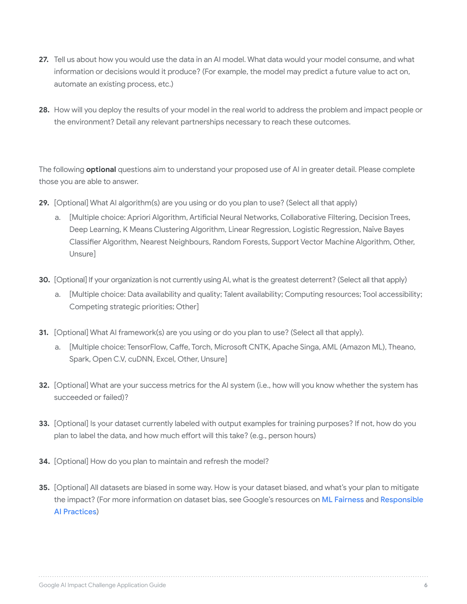- **27.** Tell us about how you would use the data in an AI model. What data would your model consume, and what information or decisions would it produce? (For example, the model may predict a future value to act on, automate an existing process, etc.)
- **28.** How will you deploy the results of your model in the real world to address the problem and impact people or the environment? Detail any relevant partnerships necessary to reach these outcomes.

The following **optional** questions aim to understand your proposed use of AI in greater detail. Please complete those you are able to answer.

- **29.** [Optional] What AI algorithm(s) are you using or do you plan to use? (Select all that apply)
	- a. [Multiple choice: Apriori Algorithm, Artificial Neural Networks, Collaborative Filtering, Decision Trees, Deep Learning, K Means Clustering Algorithm, Linear Regression, Logistic Regression, Naïve Bayes Classifier Algorithm, Nearest Neighbours, Random Forests, Support Vector Machine Algorithm, Other, Unsure]
- **30.** [Optional] If your organization is not currently using AI, what is the greatest deterrent? (Select all that apply)
	- a. [Multiple choice: Data availability and quality; Talent availability; Computing resources; Tool accessibility; Competing strategic priorities; Other]
- **31.** [Optional] What AI framework(s) are you using or do you plan to use? (Select all that apply).
	- a. [Multiple choice: TensorFlow, Caffe, Torch, Microsoft CNTK, Apache Singa, AML (Amazon ML), Theano, Spark, Open C.V, cuDNN, Excel, Other, Unsure]
- **32.** [Optional] What are your success metrics for the AI system (i.e., how will you know whether the system has succeeded or failed)?
- **33.** [Optional] Is your dataset currently labeled with output examples for training purposes? If not, how do you plan to label the data, and how much effort will this take? (e.g., person hours)
- **34.** [Optional] How do you plan to maintain and refresh the model?
- **35.** [Optional] All datasets are biased in some way. How is your dataset biased, and what's your plan to mitigate the impact? (For more information on dataset bias, see Google's resources on [ML Fairness](https://developers.google.com/machine-learning/crash-course/fairness/video-lecture) and Responsible [AI Practices](https://ai.google/education/responsible-ai-practices))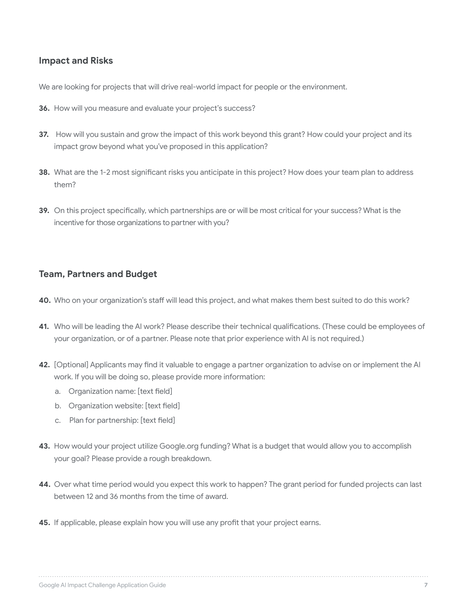#### **Impact and Risks**

We are looking for projects that will drive real-world impact for people or the environment.

- **36.** How will you measure and evaluate your project's success?
- **37.** How will you sustain and grow the impact of this work beyond this grant? How could your project and its impact grow beyond what you've proposed in this application?
- **38.** What are the 1-2 most significant risks you anticipate in this project? How does your team plan to address them?
- **39.** On this project specifically, which partnerships are or will be most critical for your success? What is the incentive for those organizations to partner with you?

#### **Team, Partners and Budget**

- **40.** Who on your organization's staff will lead this project, and what makes them best suited to do this work?
- **41.** Who will be leading the AI work? Please describe their technical qualifications. (These could be employees of your organization, or of a partner. Please note that prior experience with AI is not required.)
- **42.** [Optional] Applicants may find it valuable to engage a partner organization to advise on or implement the AI work. If you will be doing so, please provide more information:
	- a. Organization name: [text field]
	- b. Organization website: [text field]
	- c. Plan for partnership: [text field]
- **43.** How would your project utilize Google.org funding? What is a budget that would allow you to accomplish your goal? Please provide a rough breakdown.
- **44.** Over what time period would you expect this work to happen? The grant period for funded projects can last between 12 and 36 months from the time of award.
- **45.** If applicable, please explain how you will use any profit that your project earns.

#### Google AI Impact Challenge Application Guide **7**